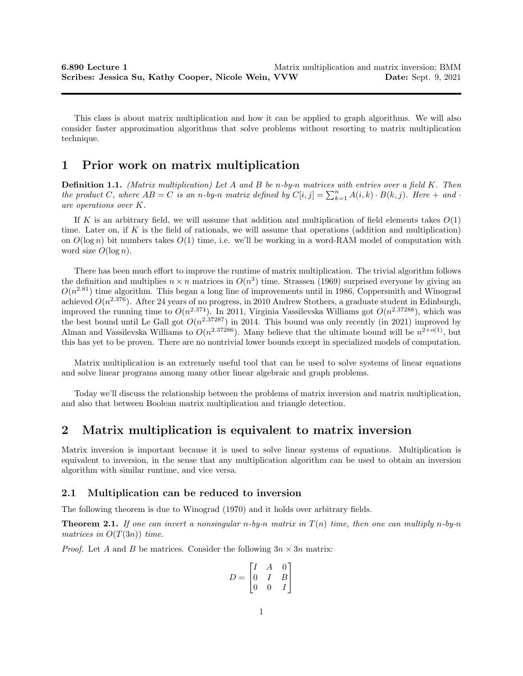This class is about matrix multiplication and how it can be applied to graph algorithms. We will also consider faster approximation algorithms that solve problems without resorting to matrix multiplication technique.

## 1 Prior work on matrix multiplication

**Definition 1.1.** (Matrix multiplication) Let A and B be n-by-n matrices with entries over a field K. Then the product C, where  $AB = C$  is an n-by-n matrix defined by  $C[i, j] = \sum_{k=1}^{n} A(i, k) \cdot B(k, j)$ . Here  $+$  and  $\cdot$ are operations over K.

If K is an arbitrary field, we will assume that addition and multiplication of field elements takes  $O(1)$ time. Later on, if  $K$  is the field of rationals, we will assume that operations (addition and multiplication) on  $O(\log n)$  bit numbers takes  $O(1)$  time, i.e. we'll be working in a word-RAM model of computation with word size  $O(\log n)$ .

There has been much effort to improve the runtime of matrix multiplication. The trivial algorithm follows the definition and multiplies  $n \times n$  matrices in  $O(n^3)$  time. Strassen (1969) surprised everyone by giving an  $O(n^{2.81})$  time algorithm. This began a long line of improvements until in 1986, Coppersmith and Winograd achieved  $O(n^{2.376})$ . After 24 years of no progress, in 2010 Andrew Stothers, a graduate student in Edinburgh, improved the running time to  $O(n^{2.374})$ . In 2011, Virginia Vassilevska Williams got  $O(n^{2.37288})$ , which was the best bound until Le Gall got  $O(n^{2.37287})$  in 2014. This bound was only recently (in 2021) improved by Alman and Vassilevska Williams to  $O(n^{2.37286})$ . Many believe that the ultimate bound will be  $n^{2+o(1)}$ , but this has yet to be proven. There are no nontrivial lower bounds except in specialized models of computation.

Matrix multiplication is an extremely useful tool that can be used to solve systems of linear equations and solve linear programs among many other linear algebraic and graph problems.

Today we'll discuss the relationship between the problems of matrix inversion and matrix multiplication, and also that between Boolean matrix multiplication and triangle detection.

# 2 Matrix multiplication is equivalent to matrix inversion

Matrix inversion is important because it is used to solve linear systems of equations. Multiplication is equivalent to inversion, in the sense that any multiplication algorithm can be used to obtain an inversion algorithm with similar runtime, and vice versa.

## 2.1 Multiplication can be reduced to inversion

The following theorem is due to Winograd (1970) and it holds over arbitrary fields.

**Theorem 2.1.** If one can invert a nonsingular n-by-n matrix in  $T(n)$  time, then one can multiply n-by-n matrices in  $O(T(3n))$  time.

*Proof.* Let A and B be matrices. Consider the following  $3n \times 3n$  matrix:

$$
D = \begin{bmatrix} I & A & 0 \\ 0 & I & B \\ 0 & 0 & I \end{bmatrix}
$$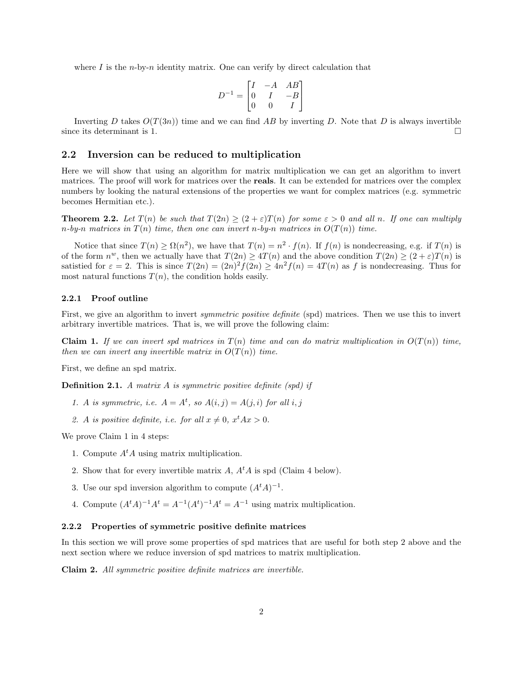where I is the *n*-by-*n* identity matrix. One can verify by direct calculation that

$$
D^{-1} = \begin{bmatrix} I & -A & AB \\ 0 & I & -B \\ 0 & 0 & I \end{bmatrix}
$$

Inverting D takes  $O(T(3n))$  time and we can find AB by inverting D. Note that D is always invertible since its determinant is 1.  $\Box$ 

## 2.2 Inversion can be reduced to multiplication

Here we will show that using an algorithm for matrix multiplication we can get an algorithm to invert matrices. The proof will work for matrices over the reals. It can be extended for matrices over the complex numbers by looking the natural extensions of the properties we want for complex matrices (e.g. symmetric becomes Hermitian etc.).

**Theorem 2.2.** Let  $T(n)$  be such that  $T(2n) \ge (2+\epsilon)T(n)$  for some  $\epsilon > 0$  and all n. If one can multiply n-by-n matrices in  $T(n)$  time, then one can invert n-by-n matrices in  $O(T(n))$  time.

Notice that since  $T(n) \geq \Omega(n^2)$ , we have that  $T(n) = n^2 \cdot f(n)$ . If  $f(n)$  is nondecreasing, e.g. if  $T(n)$  is of the form  $n^w$ , then we actually have that  $T(2n) \ge 4T(n)$  and the above condition  $T(2n) \ge (2+\varepsilon)T(n)$  is satistied for  $\varepsilon = 2$ . This is since  $T(2n) = (2n)^2 f(2n) \ge 4n^2 f(n) = 4T(n)$  as f is nondecreasing. Thus for most natural functions  $T(n)$ , the condition holds easily.

#### 2.2.1 Proof outline

First, we give an algorithm to invert *symmetric positive definite* (spd) matrices. Then we use this to invert arbitrary invertible matrices. That is, we will prove the following claim:

**Claim 1.** If we can invert spd matrices in  $T(n)$  time and can do matrix multiplication in  $O(T(n))$  time, then we can invert any invertible matrix in  $O(T(n))$  time.

First, we define an spd matrix.

**Definition 2.1.** A matrix A is symmetric positive definite (spd) if

- 1. A is symmetric, i.e.  $A = A^t$ , so  $A(i, j) = A(j, i)$  for all i, j
- 2. A is positive definite, i.e. for all  $x \neq 0$ ,  $x^t A x > 0$ .

We prove Claim 1 in 4 steps:

- 1. Compute  $A<sup>t</sup>A$  using matrix multiplication.
- 2. Show that for every invertible matrix A,  $A<sup>t</sup>A$  is spd (Claim 4 below).
- 3. Use our spd inversion algorithm to compute  $(A<sup>t</sup>A)^{-1}$ .
- 4. Compute  $(A^t A)^{-1} A^t = A^{-1} (A^t)^{-1} A^t = A^{-1}$  using matrix multiplication.

#### 2.2.2 Properties of symmetric positive definite matrices

In this section we will prove some properties of spd matrices that are useful for both step 2 above and the next section where we reduce inversion of spd matrices to matrix multiplication.

Claim 2. All symmetric positive definite matrices are invertible.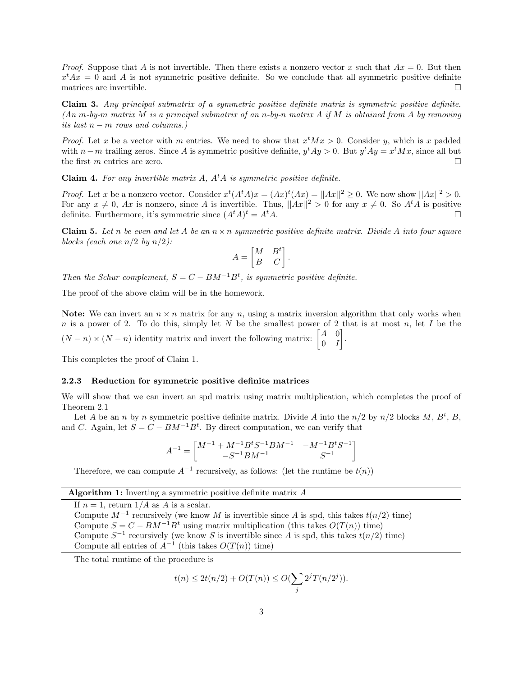*Proof.* Suppose that A is not invertible. Then there exists a nonzero vector x such that  $Ax = 0$ . But then  $x^t A x = 0$  and A is not symmetric positive definite. So we conclude that all symmetric positive definite matrices are invertible.  $\Box$ 

Claim 3. Any principal submatrix of a symmetric positive definite matrix is symmetric positive definite.  $(An m-by-m matrix M is a principal submatrix of an n-by-n matrix A if M is obtained from A by removing$ its last  $n - m$  rows and columns.)

*Proof.* Let x be a vector with m entries. We need to show that  $x^t M x > 0$ . Consider y, which is x padded with  $n-m$  trailing zeros. Since A is symmetric positive definite,  $y^t A y > 0$ . But  $y^t A y = x^t M x$ , since all but the first m entries are zero.  $\Box$ 

**Claim 4.** For any invertible matrix  $A$ ,  $A<sup>t</sup>A$  is symmetric positive definite.

*Proof.* Let x be a nonzero vector. Consider  $x^t(A^t A)x = (Ax)^t(Ax) = ||Ax||^2 \ge 0$ . We now show  $||Ax||^2 > 0$ . For any  $x \neq 0$ , Ax is nonzero, since A is invertible. Thus,  $||Ax||^2 > 0$  for any  $x \neq 0$ . So  $A<sup>t</sup>A$  is positive definite. Furthermore, it's symmetric since  $(A^t A)^t = A^t A$ .

**Claim 5.** Let n be even and let A be an  $n \times n$  symmetric positive definite matrix. Divide A into four square blocks (each one  $n/2$  by  $n/2$ ):

$$
A = \begin{bmatrix} M & B^t \\ B & C \end{bmatrix}.
$$

Then the Schur complement,  $S = C - BM^{-1}B^{t}$ , is symmetric positive definite.

The proof of the above claim will be in the homework.

**Note:** We can invert an  $n \times n$  matrix for any n, using a matrix inversion algorithm that only works when n is a power of 2. To do this, simply let N be the smallest power of 2 that is at most n, let I be the  $(N-n) \times (N-n)$  identity matrix and invert the following matrix:  $\begin{bmatrix} A & 0 \\ 0 & I \end{bmatrix}$  $0$  *I* .

This completes the proof of Claim 1.

### 2.2.3 Reduction for symmetric positive definite matrices

We will show that we can invert an spd matrix using matrix multiplication, which completes the proof of Theorem 2.1

Let A be an n by n symmetric positive definite matrix. Divide A into the  $n/2$  by  $n/2$  blocks M,  $B^t$ , B, and C. Again, let  $S = C - BM^{-1}B^t$ . By direct computation, we can verify that

$$
A^{-1} = \begin{bmatrix} M^{-1} + M^{-1}B^{t}S^{-1}BM^{-1} & -M^{-1}B^{t}S^{-1} \\ -S^{-1}BM^{-1} & S^{-1} \end{bmatrix}
$$

Therefore, we can compute  $A^{-1}$  recursively, as follows: (let the runtime be  $t(n)$ )

## Algorithm 1: Inverting a symmetric positive definite matrix  $A$

If  $n = 1$ , return  $1/A$  as  $\overline{A}$  is a scalar. Compute  $M^{-1}$  recursively (we know M is invertible since A is spd, this takes  $t(n/2)$  time) Compute  $S = C - BM^{-1}B^t$  using matrix multiplication (this takes  $O(T(n))$  time) Compute  $S^{-1}$  recursively (we know S is invertible since A is spd, this takes  $t(n/2)$  time) Compute all entries of  $A^{-1}$  (this takes  $O(T(n))$  time)

The total runtime of the procedure is

$$
t(n) \le 2t(n/2) + O(T(n)) \le O(\sum_{j} 2^{j} T(n/2^{j})).
$$